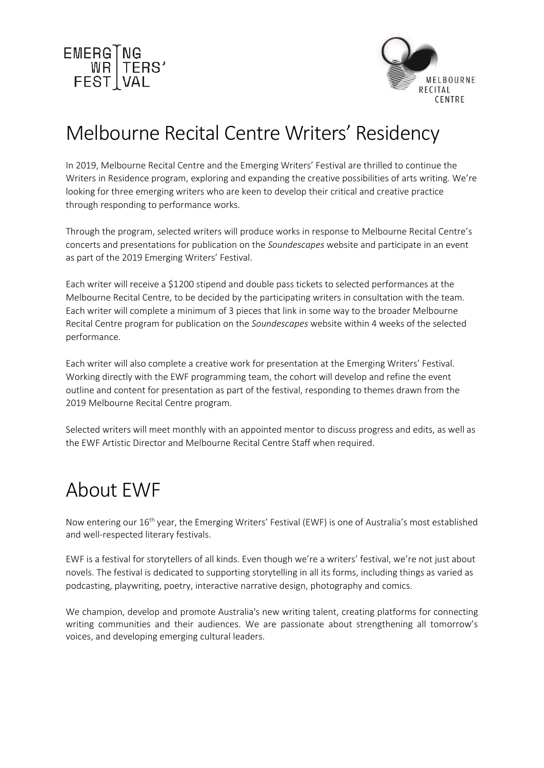



## Melbourne Recital Centre Writers' Residency

In 2019, Melbourne Recital Centre and the Emerging Writers' Festival are thrilled to continue the Writers in Residence program, exploring and expanding the creative possibilities of arts writing. We're looking for three emerging writers who are keen to develop their critical and creative practice through responding to performance works.

Through the program, selected writers will produce works in response to Melbourne Recital Centre's concerts and presentations for publication on the *Soundescapes* website and participate in an event as part of the 2019 Emerging Writers' Festival.

Each writer will receive a \$1200 stipend and double pass tickets to selected performances at the Melbourne Recital Centre, to be decided by the participating writers in consultation with the team. Each writer will complete a minimum of 3 pieces that link in some way to the broader Melbourne Recital Centre program for publication on the *Soundescapes* website within 4 weeks of the selected performance.

Each writer will also complete a creative work for presentation at the Emerging Writers' Festival. Working directly with the EWF programming team, the cohort will develop and refine the event outline and content for presentation as part of the festival, responding to themes drawn from the 2019 Melbourne Recital Centre program.

Selected writers will meet monthly with an appointed mentor to discuss progress and edits, as well as the EWF Artistic Director and Melbourne Recital Centre Staff when required.

### About EWF

Now entering our 16<sup>th</sup> year, the Emerging Writers' Festival (EWF) is one of Australia's most established and well-respected literary festivals.

EWF is a festival for storytellers of all kinds. Even though we're a writers' festival, we're not just about novels. The festival is dedicated to supporting storytelling in all its forms, including things as varied as podcasting, playwriting, poetry, interactive narrative design, photography and comics.

We champion, develop and promote Australia's new writing talent, creating platforms for connecting writing communities and their audiences. We are passionate about strengthening all tomorrow's voices, and developing emerging cultural leaders.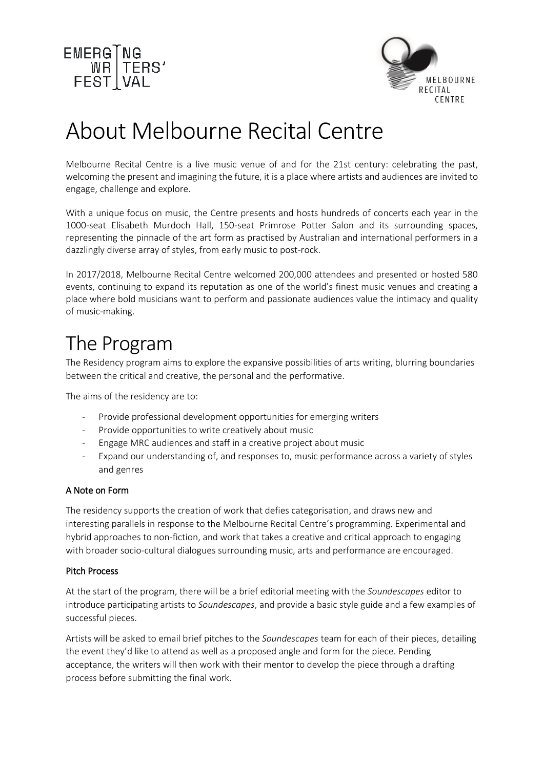



## About Melbourne Recital Centre

Melbourne Recital Centre is a live music venue of and for the 21st century: celebrating the past, welcoming the present and imagining the future, it is a place where artists and audiences are invited to engage, challenge and explore.

With a unique focus on music, the Centre presents and hosts hundreds of concerts each year in the 1000-seat Elisabeth Murdoch Hall, 150-seat Primrose Potter Salon and its surrounding spaces, representing the pinnacle of the art form as practised by Australian and international performers in a dazzlingly diverse array of styles, from early music to post-rock.

In 2017/2018, Melbourne Recital Centre welcomed 200,000 attendees and presented or hosted 580 events, continuing to expand its reputation as one of the world's finest music venues and creating a place where bold musicians want to perform and passionate audiences value the intimacy and quality of music-making.

## The Program

The Residency program aims to explore the expansive possibilities of arts writing, blurring boundaries between the critical and creative, the personal and the performative.

The aims of the residency are to:

- Provide professional development opportunities for emerging writers
- Provide opportunities to write creatively about music
- Engage MRC audiences and staff in a creative project about music
- Expand our understanding of, and responses to, music performance across a variety of styles and genres

#### A Note on Form

The residency supports the creation of work that defies categorisation, and draws new and interesting parallels in response to the Melbourne Recital Centre's programming. Experimental and hybrid approaches to non-fiction, and work that takes a creative and critical approach to engaging with broader socio-cultural dialogues surrounding music, arts and performance are encouraged.

#### Pitch Process

At the start of the program, there will be a brief editorial meeting with the *Soundescapes* editor to introduce participating artists to *Soundescapes*, and provide a basic style guide and a few examples of successful pieces.

Artists will be asked to email brief pitches to the *Soundescapes* team for each of their pieces, detailing the event they'd like to attend as well as a proposed angle and form for the piece. Pending acceptance, the writers will then work with their mentor to develop the piece through a drafting process before submitting the final work.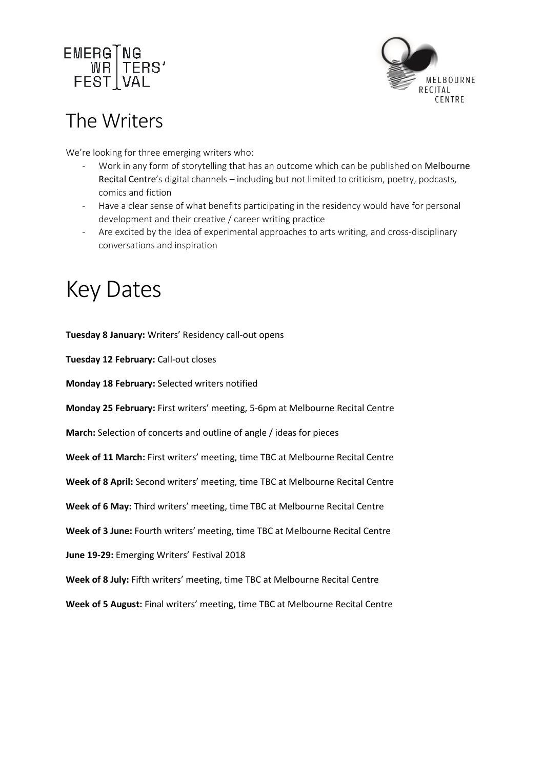



## The Writers

We're looking for three emerging writers who:

- Work in any form of storytelling that has an outcome which can be published on Melbourne Recital Centre's digital channels – including but not limited to criticism, poetry, podcasts, comics and fiction
- Have a clear sense of what benefits participating in the residency would have for personal development and their creative / career writing practice
- Are excited by the idea of experimental approaches to arts writing, and cross-disciplinary conversations and inspiration

## Key Dates

**Tuesday 8 January:** Writers' Residency call-out opens

**Tuesday 12 February:** Call-out closes

**Monday 18 February:** Selected writers notified

**Monday 25 February:** First writers' meeting, 5-6pm at Melbourne Recital Centre

**March:** Selection of concerts and outline of angle / ideas for pieces

**Week of 11 March:** First writers' meeting, time TBC at Melbourne Recital Centre

**Week of 8 April:** Second writers' meeting, time TBC at Melbourne Recital Centre

**Week of 6 May:** Third writers' meeting, time TBC at Melbourne Recital Centre

**Week of 3 June:** Fourth writers' meeting, time TBC at Melbourne Recital Centre

**June 19-29:** Emerging Writers' Festival 2018

**Week of 8 July:** Fifth writers' meeting, time TBC at Melbourne Recital Centre

**Week of 5 August:** Final writers' meeting, time TBC at Melbourne Recital Centre